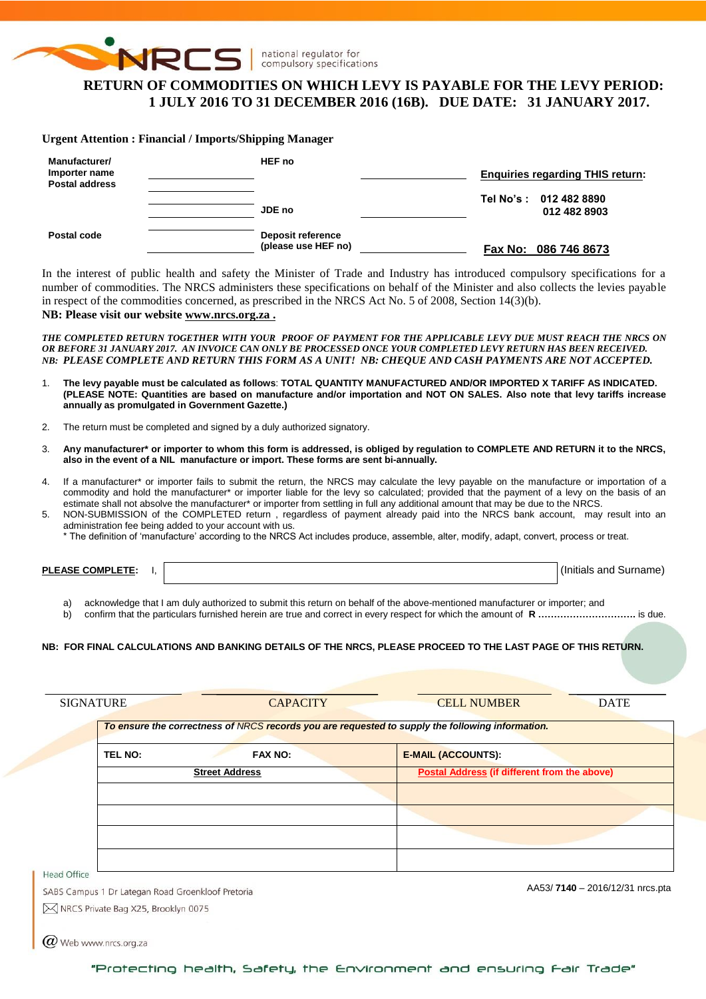

national regulator for compulsory specifications

# **RETURN OF COMMODITIES ON WHICH LEVY IS PAYABLE FOR THE LEVY PERIOD: 1 JULY 2016 TO 31 DECEMBER 2016 (16B). DUE DATE: 31 JANUARY 2017.**

#### **Urgent Attention : Financial / Imports/Shipping Manager**

| Manufacturer/<br>Importer name<br><b>Postal address</b> | HEF no                                   | <b>Enquiries regarding THIS return:</b> |  |  |
|---------------------------------------------------------|------------------------------------------|-----------------------------------------|--|--|
|                                                         | JDE no                                   | Tel No's: 012 482 8890<br>012 482 8903  |  |  |
| Postal code                                             | Deposit reference<br>(please use HEF no) | Fax No: 086 746 8673                    |  |  |

In the interest of public health and safety the Minister of Trade and Industry has introduced compulsory specifications for a number of commodities. The NRCS administers these specifications on behalf of the Minister and also collects the levies payable in respect of the commodities concerned, as prescribed in the NRCS Act No. 5 of 2008, Section 14(3)(b).

## **NB: Please visit our website [www.nrcs.org.za](http://www.nrcs.org.za/) .**

*THE COMPLETED RETURN TOGETHER WITH YOUR PROOF OF PAYMENT FOR THE APPLICABLE LEVY DUE MUST REACH THE NRCS ON OR BEFORE 31 JANUARY 2017. AN INVOICE CAN ONLY BE PROCESSED ONCE YOUR COMPLETED LEVY RETURN HAS BEEN RECEIVED. NB: PLEASE COMPLETE AND RETURN THIS FORM AS A UNIT! NB: CHEQUE AND CASH PAYMENTS ARE NOT ACCEPTED.*

- 1. **The levy payable must be calculated as follows**: **TOTAL QUANTITY MANUFACTURED AND/OR IMPORTED X TARIFF AS INDICATED. (PLEASE NOTE: Quantities are based on manufacture and/or importation and NOT ON SALES. Also note that levy tariffs increase annually as promulgated in Government Gazette.)**
- 2. The return must be completed and signed by a duly authorized signatory.
- 3. **Any manufacturer\* or importer to whom this form is addressed, is obliged by regulation to COMPLETE AND RETURN it to the NRCS, also in the event of a NIL manufacture or import. These forms are sent bi-annually.**
- 4. If a manufacturer\* or importer fails to submit the return, the NRCS may calculate the levy payable on the manufacture or importation of a commodity and hold the manufacturer\* or importer liable for the levy so calculated; provided that the payment of a levy on the basis of an estimate shall not absolve the manufacturer\* or importer from settling in full any additional amount that may be due to the NRCS.
- 5. NON-SUBMISSION of the COMPLETED return , regardless of payment already paid into the NRCS bank account, may result into an administration fee being added to your account with us.
	- \* The definition of 'manufacture' according to the NRCS Act includes produce, assemble, alter, modify, adapt, convert, process or treat.

**PLEASE COMPLETE:** I,  $\vert$ 

a) acknowledge that I am duly authorized to submit this return on behalf of the above-mentioned manufacturer or importer; and

b) confirm that the particulars furnished herein are true and correct in every respect for which the amount of **R ………………………….** is due.

#### **NB: FOR FINAL CALCULATIONS AND BANKING DETAILS OF THE NRCS, PLEASE PROCEED TO THE LAST PAGE OF THIS RETURN.**

| <b>SIGNATURE</b>                                  | <b>CAPACITY</b>       | <b>CELL NUMBER</b>                                                                               | <b>DATE</b>                     |
|---------------------------------------------------|-----------------------|--------------------------------------------------------------------------------------------------|---------------------------------|
|                                                   |                       | To ensure the correctness of NRCS records you are requested to supply the following information. |                                 |
| <b>TEL NO:</b>                                    | <b>FAX NO:</b>        | <b>E-MAIL (ACCOUNTS):</b>                                                                        |                                 |
|                                                   | <b>Street Address</b> | Postal Address (if different from the above)                                                     |                                 |
|                                                   |                       |                                                                                                  |                                 |
|                                                   |                       |                                                                                                  |                                 |
|                                                   |                       |                                                                                                  |                                 |
|                                                   |                       |                                                                                                  |                                 |
| Head Office                                       |                       |                                                                                                  |                                 |
| SABS Campus 1 Dr Lategan Road Groenkloof Pretoria |                       |                                                                                                  | AA53/7140 - 2016/12/31 nrcs.pta |
| M NRCS Private Bag X25, Brooklyn 0075             |                       |                                                                                                  |                                 |
|                                                   |                       |                                                                                                  |                                 |

 $\omega$  Web www.nrcs.org.za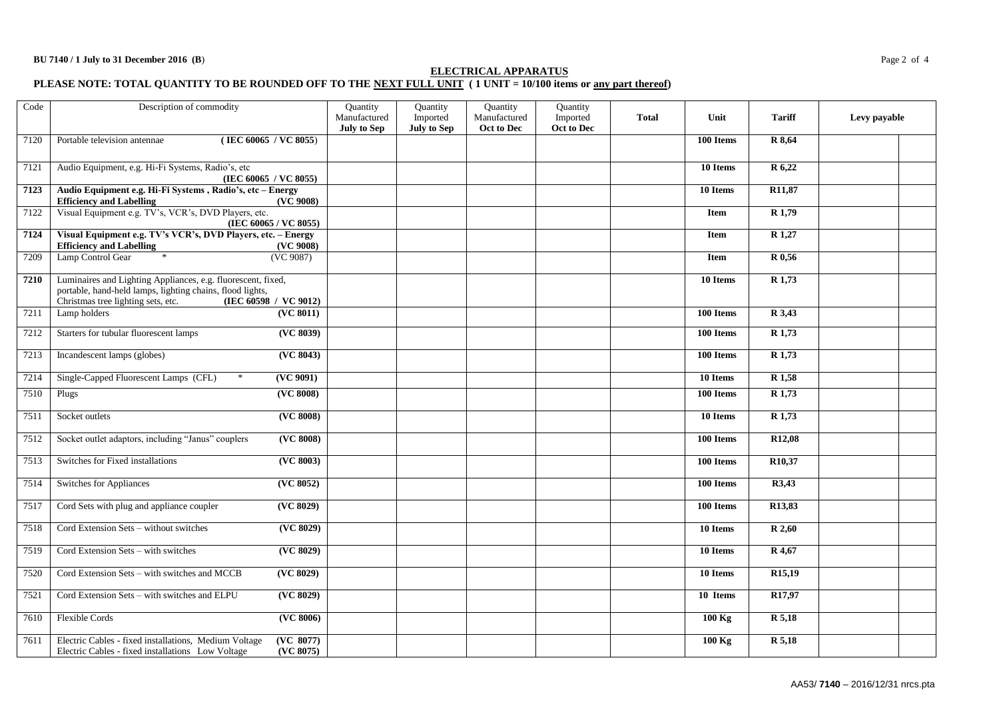## **ELECTRICAL APPARATUS**

#### **PLEASE NOTE: TOTAL QUANTITY TO BE ROUNDED OFF TO THE NEXT FULL UNIT ( 1 UNIT = 10/100 items or any part thereof)**

| Code | Description of commodity                                                                                                                                        |                                | Quantity<br>Manufactured<br><b>July to Sep</b> | Quantity<br>Imported<br><b>July to Sep</b> | Quantity<br>Manufactured<br>Oct to Dec | Quantity<br>Imported<br>Oct to Dec | <b>Total</b> | Unit        | <b>Tariff</b>       | Levy payable |
|------|-----------------------------------------------------------------------------------------------------------------------------------------------------------------|--------------------------------|------------------------------------------------|--------------------------------------------|----------------------------------------|------------------------------------|--------------|-------------|---------------------|--------------|
| 7120 | Portable television antennae<br>(IEC 60065 / VC 8055)                                                                                                           |                                |                                                |                                            |                                        |                                    |              | 100 Items   | R 8,64              |              |
| 7121 | Audio Equipment, e.g. Hi-Fi Systems, Radio's, etc<br>(IEC 60065 / VC 8055)                                                                                      |                                |                                                |                                            |                                        |                                    |              | 10 Items    | R 6,22              |              |
| 7123 | Audio Equipment e.g. Hi-Fi Systems, Radio's, etc - Energy<br><b>Efficiency and Labelling</b>                                                                    | (VC 9008)                      |                                                |                                            |                                        |                                    |              | 10 Items    | R <sub>11</sub> ,87 |              |
| 7122 | Visual Equipment e.g. TV's, VCR's, DVD Players, etc.                                                                                                            | (IEC 60065 / VC 8055)          |                                                |                                            |                                        |                                    |              | <b>Item</b> | R <sub>1,79</sub>   |              |
| 7124 | Visual Equipment e.g. TV's VCR's, DVD Players, etc. - Energy<br><b>Efficiency and Labelling</b>                                                                 | (VC 9008)                      |                                                |                                            |                                        |                                    |              | <b>Item</b> | $R$ 1,27            |              |
| 7209 | Lamp Control Gear<br>$\ast$                                                                                                                                     | (VC 9087)                      |                                                |                                            |                                        |                                    |              | Item        | R 0,56              |              |
| 7210 | Luminaires and Lighting Appliances, e.g. fluorescent, fixed,<br>portable, hand-held lamps, lighting chains, flood lights,<br>Christmas tree lighting sets, etc. | (IEC 60598 / VC 9012)          |                                                |                                            |                                        |                                    |              | 10 Items    | $R$ 1,73            |              |
| 7211 | Lamp holders                                                                                                                                                    | $\overline{\text{ (VC 8011)}}$ |                                                |                                            |                                        |                                    |              | 100 Items   | $\overline{R}$ 3,43 |              |
| 7212 | Starters for tubular fluorescent lamps                                                                                                                          | (VC 8039)                      |                                                |                                            |                                        |                                    |              | 100 Items   | $R$ 1,73            |              |
| 7213 | Incandescent lamps (globes)                                                                                                                                     | (VC 8043)                      |                                                |                                            |                                        |                                    |              | 100 Items   | R 1,73              |              |
| 7214 | Single-Capped Fluorescent Lamps (CFL)<br>$\ast$                                                                                                                 | (VC 9091)                      |                                                |                                            |                                        |                                    |              | 10 Items    | $\overline{R1,58}$  |              |
| 7510 | Plugs                                                                                                                                                           | ( <b>VC</b> 8008)              |                                                |                                            |                                        |                                    |              | 100 Items   | R1,73               |              |
| 7511 | Socket outlets                                                                                                                                                  | (VC 8008)                      |                                                |                                            |                                        |                                    |              | 10 Items    | R 1,73              |              |
| 7512 | Socket outlet adaptors, including "Janus" couplers                                                                                                              | ( <b>VC</b> 8008)              |                                                |                                            |                                        |                                    |              | 100 Items   | R12,08              |              |
| 7513 | Switches for Fixed installations                                                                                                                                | (VC 8003)                      |                                                |                                            |                                        |                                    |              | 100 Items   | R <sub>10</sub> ,37 |              |
| 7514 | Switches for Appliances                                                                                                                                         | (VC 8052)                      |                                                |                                            |                                        |                                    |              | 100 Items   | R3,43               |              |
| 7517 | Cord Sets with plug and appliance coupler                                                                                                                       | (VC 8029)                      |                                                |                                            |                                        |                                    |              | 100 Items   | R13,83              |              |
| 7518 | Cord Extension Sets - without switches                                                                                                                          | ( <b>VC</b> 8029)              |                                                |                                            |                                        |                                    |              | 10 Items    | R 2,60              |              |
| 7519 | Cord Extension Sets - with switches                                                                                                                             | (VC 8029)                      |                                                |                                            |                                        |                                    |              | 10 Items    | R 4,67              |              |
| 7520 | Cord Extension Sets - with switches and MCCB                                                                                                                    | ( <b>VC</b> 8029)              |                                                |                                            |                                        |                                    |              | 10 Items    | R <sub>15</sub> ,19 |              |
| 7521 | Cord Extension Sets - with switches and ELPU                                                                                                                    | (VC 8029)                      |                                                |                                            |                                        |                                    |              | 10 Items    | R17,97              |              |
| 7610 | <b>Flexible Cords</b>                                                                                                                                           | $\overline{\text{ (VC 8006)}}$ |                                                |                                            |                                        |                                    |              | $100$ Kg    | $R$ 5,18            |              |
| 7611 | Electric Cables - fixed installations, Medium Voltage<br>Electric Cables - fixed installations Low Voltage                                                      | (VC 8077)<br>(VC 8075)         |                                                |                                            |                                        |                                    |              | $100$ Kg    | R 5,18              |              |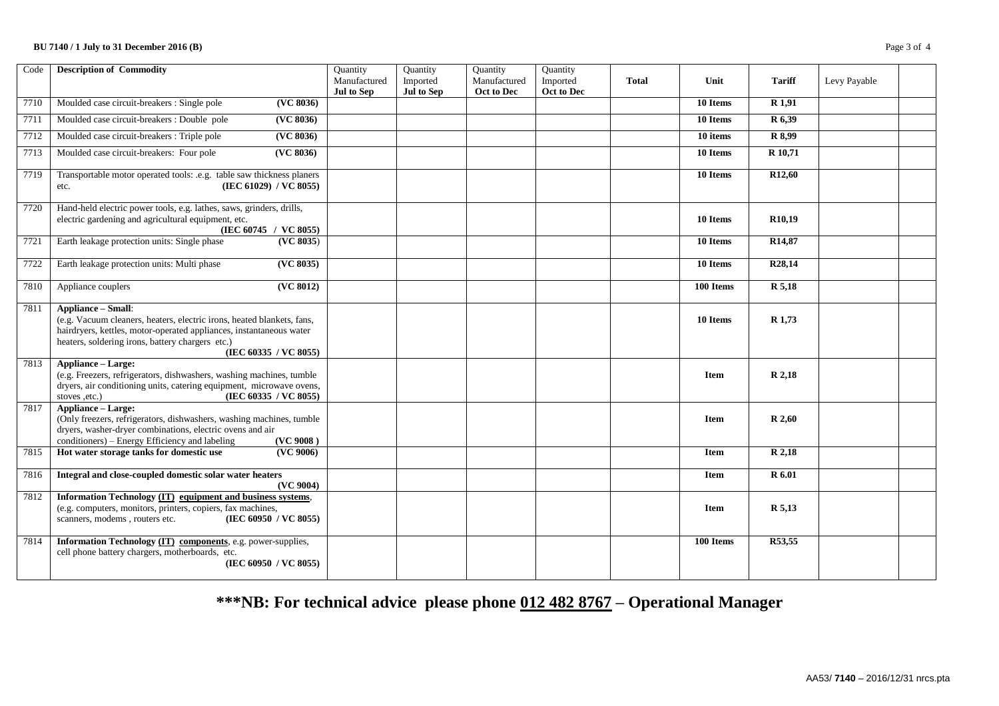## **BU 7140 / 1 July to 31 December 2016 (B)** Page 3 of 4

| Code | <b>Description of Commodity</b>                                                                                                                                                                                                                         | Quantity<br>Manufactured<br>Jul to Sep | Quantity<br>Imported<br>Jul to Sep | Quantity<br>Manufactured<br>Oct to Dec | Quantity<br>Imported<br>Oct to Dec | <b>Total</b> | Unit        | <b>Tariff</b>       | Levy Payable |  |
|------|---------------------------------------------------------------------------------------------------------------------------------------------------------------------------------------------------------------------------------------------------------|----------------------------------------|------------------------------------|----------------------------------------|------------------------------------|--------------|-------------|---------------------|--------------|--|
| 7710 | Moulded case circuit-breakers : Single pole<br>(VC 8036)                                                                                                                                                                                                |                                        |                                    |                                        |                                    |              | 10 Items    | R <sub>1.91</sub>   |              |  |
| 7711 | Moulded case circuit-breakers : Double pole<br>(VC 8036)                                                                                                                                                                                                |                                        |                                    |                                        |                                    |              | 10 Items    | R 6,39              |              |  |
| 7712 | Moulded case circuit-breakers : Triple pole<br>(VC 8036)                                                                                                                                                                                                |                                        |                                    |                                        |                                    |              | 10 items    | R 8,99              |              |  |
| 7713 | ( <b>VC</b> 8036)<br>Moulded case circuit-breakers: Four pole                                                                                                                                                                                           |                                        |                                    |                                        |                                    |              | 10 Items    | R 10,71             |              |  |
| 7719 | Transportable motor operated tools: .e.g. table saw thickness planers<br>(IEC 61029) / VC 8055)<br>etc.                                                                                                                                                 |                                        |                                    |                                        |                                    |              | 10 Items    | R <sub>12</sub> ,60 |              |  |
| 7720 | Hand-held electric power tools, e.g. lathes, saws, grinders, drills,<br>electric gardening and agricultural equipment, etc.<br>(IEC 60745 / VC 8055)                                                                                                    |                                        |                                    |                                        |                                    |              | 10 Items    | R <sub>10.19</sub>  |              |  |
| 7721 | Earth leakage protection units: Single phase<br>(VC 8035)                                                                                                                                                                                               |                                        |                                    |                                        |                                    |              | 10 Items    | R <sub>14</sub> ,87 |              |  |
| 7722 | (VC 8035)<br>Earth leakage protection units: Multi phase                                                                                                                                                                                                |                                        |                                    |                                        |                                    |              | 10 Items    | R <sub>28</sub> ,14 |              |  |
| 7810 | Appliance couplers<br>(VC 8012)                                                                                                                                                                                                                         |                                        |                                    |                                        |                                    |              | 100 Items   | R 5,18              |              |  |
| 7811 | <b>Appliance - Small:</b><br>(e.g. Vacuum cleaners, heaters, electric irons, heated blankets, fans,<br>hairdryers, kettles, motor-operated appliances, instantaneous water<br>heaters, soldering irons, battery chargers etc.)<br>(IEC 60335 / VC 8055) |                                        |                                    |                                        |                                    |              | 10 Items    | R 1,73              |              |  |
| 7813 | <b>Appliance – Large:</b><br>(e.g. Freezers, refrigerators, dishwashers, washing machines, tumble<br>dryers, air conditioning units, catering equipment, microwave ovens,<br>(IEC 60335 / VC 8055)<br>stoves ,etc.)                                     |                                        |                                    |                                        |                                    |              | <b>Item</b> | R 2,18              |              |  |
| 7817 | <b>Appliance - Large:</b><br>(Only freezers, refrigerators, dishwashers, washing machines, tumble<br>dryers, washer-dryer combinations, electric ovens and air<br>conditioners) – Energy Efficiency and labeling<br>(VC 9008)                           |                                        |                                    |                                        |                                    |              | <b>Item</b> | R 2,60              |              |  |
| 7815 | Hot water storage tanks for domestic use<br>(VC 9006)                                                                                                                                                                                                   |                                        |                                    |                                        |                                    |              | <b>Item</b> | R 2,18              |              |  |
| 7816 | Integral and close-coupled domestic solar water heaters<br>(VC 9004)                                                                                                                                                                                    |                                        |                                    |                                        |                                    |              | Item        | R 6.01              |              |  |
| 7812 | Information Technology (IT) equipment and business systems,<br>(e.g. computers, monitors, printers, copiers, fax machines,<br>scanners, modems, routers etc.<br>(IEC 60950 / VC 8055)                                                                   |                                        |                                    |                                        |                                    |              | <b>Item</b> | R 5,13              |              |  |
| 7814 | Information Technology (IT) components, e.g. power-supplies,<br>cell phone battery chargers, motherboards, etc.<br>(IEC 60950 / VC 8055)                                                                                                                |                                        |                                    |                                        |                                    |              | 100 Items   | R53,55              |              |  |

# **\*\*\*NB: For technical advice please phone 012 482 8767 – Operational Manager**